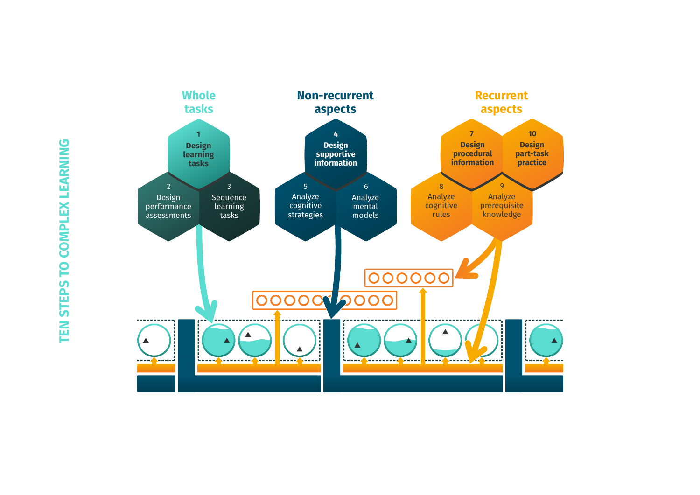